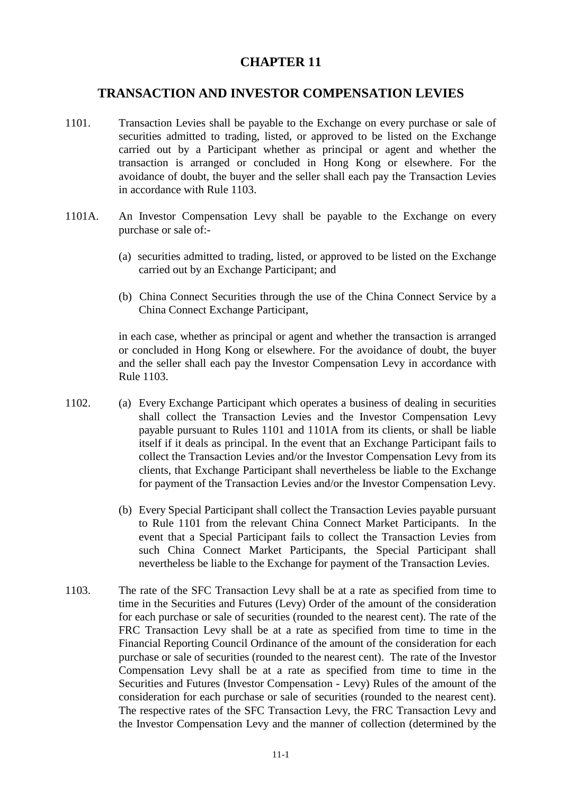## **CHAPTER 11**

## **TRANSACTION AND INVESTOR COMPENSATION LEVIES**

- 1101. Transaction Levies shall be payable to the Exchange on every purchase or sale of securities admitted to trading, listed, or approved to be listed on the Exchange carried out by a Participant whether as principal or agent and whether the transaction is arranged or concluded in Hong Kong or elsewhere. For the avoidance of doubt, the buyer and the seller shall each pay the Transaction Levies in accordance with Rule 1103.
- 1101A. An Investor Compensation Levy shall be payable to the Exchange on every purchase or sale of:-
	- (a) securities admitted to trading, listed, or approved to be listed on the Exchange carried out by an Exchange Participant; and
	- (b) China Connect Securities through the use of the China Connect Service by a China Connect Exchange Participant,

in each case, whether as principal or agent and whether the transaction is arranged or concluded in Hong Kong or elsewhere. For the avoidance of doubt, the buyer and the seller shall each pay the Investor Compensation Levy in accordance with Rule 1103.

- 1102. (a) Every Exchange Participant which operates a business of dealing in securities shall collect the Transaction Levies and the Investor Compensation Levy payable pursuant to Rules 1101 and 1101A from its clients, or shall be liable itself if it deals as principal. In the event that an Exchange Participant fails to collect the Transaction Levies and/or the Investor Compensation Levy from its clients, that Exchange Participant shall nevertheless be liable to the Exchange for payment of the Transaction Levies and/or the Investor Compensation Levy.
	- (b) Every Special Participant shall collect the Transaction Levies payable pursuant to Rule 1101 from the relevant China Connect Market Participants. In the event that a Special Participant fails to collect the Transaction Levies from such China Connect Market Participants, the Special Participant shall nevertheless be liable to the Exchange for payment of the Transaction Levies.
- 1103. The rate of the SFC Transaction Levy shall be at a rate as specified from time to time in the Securities and Futures (Levy) Order of the amount of the consideration for each purchase or sale of securities (rounded to the nearest cent). The rate of the FRC Transaction Levy shall be at a rate as specified from time to time in the Financial Reporting Council Ordinance of the amount of the consideration for each purchase or sale of securities (rounded to the nearest cent). The rate of the Investor Compensation Levy shall be at a rate as specified from time to time in the Securities and Futures (Investor Compensation - Levy) Rules of the amount of the consideration for each purchase or sale of securities (rounded to the nearest cent). The respective rates of the SFC Transaction Levy, the FRC Transaction Levy and the Investor Compensation Levy and the manner of collection (determined by the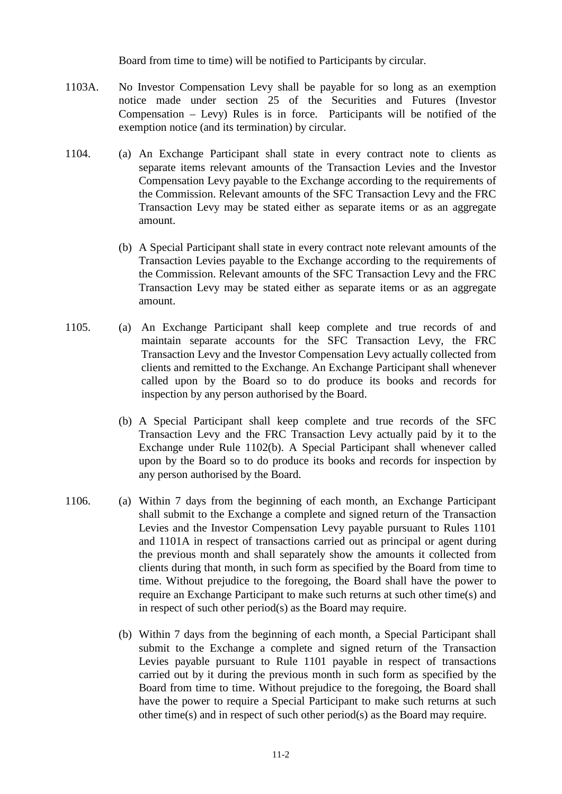Board from time to time) will be notified to Participants by circular.

- 1103A. No Investor Compensation Levy shall be payable for so long as an exemption notice made under section 25 of the Securities and Futures (Investor Compensation – Levy) Rules is in force. Participants will be notified of the exemption notice (and its termination) by circular.
- 1104. (a) An Exchange Participant shall state in every contract note to clients as separate items relevant amounts of the Transaction Levies and the Investor Compensation Levy payable to the Exchange according to the requirements of the Commission. Relevant amounts of the SFC Transaction Levy and the FRC Transaction Levy may be stated either as separate items or as an aggregate amount.
	- (b) A Special Participant shall state in every contract note relevant amounts of the Transaction Levies payable to the Exchange according to the requirements of the Commission. Relevant amounts of the SFC Transaction Levy and the FRC Transaction Levy may be stated either as separate items or as an aggregate amount.
- 1105. (a) An Exchange Participant shall keep complete and true records of and maintain separate accounts for the SFC Transaction Levy, the FRC Transaction Levy and the Investor Compensation Levy actually collected from clients and remitted to the Exchange. An Exchange Participant shall whenever called upon by the Board so to do produce its books and records for inspection by any person authorised by the Board.
	- (b) A Special Participant shall keep complete and true records of the SFC Transaction Levy and the FRC Transaction Levy actually paid by it to the Exchange under Rule 1102(b). A Special Participant shall whenever called upon by the Board so to do produce its books and records for inspection by any person authorised by the Board.
- 1106. (a) Within 7 days from the beginning of each month, an Exchange Participant shall submit to the Exchange a complete and signed return of the Transaction Levies and the Investor Compensation Levy payable pursuant to Rules 1101 and 1101A in respect of transactions carried out as principal or agent during the previous month and shall separately show the amounts it collected from clients during that month, in such form as specified by the Board from time to time. Without prejudice to the foregoing, the Board shall have the power to require an Exchange Participant to make such returns at such other time(s) and in respect of such other period(s) as the Board may require.
	- (b) Within 7 days from the beginning of each month, a Special Participant shall submit to the Exchange a complete and signed return of the Transaction Levies payable pursuant to Rule 1101 payable in respect of transactions carried out by it during the previous month in such form as specified by the Board from time to time. Without prejudice to the foregoing, the Board shall have the power to require a Special Participant to make such returns at such other time(s) and in respect of such other period(s) as the Board may require.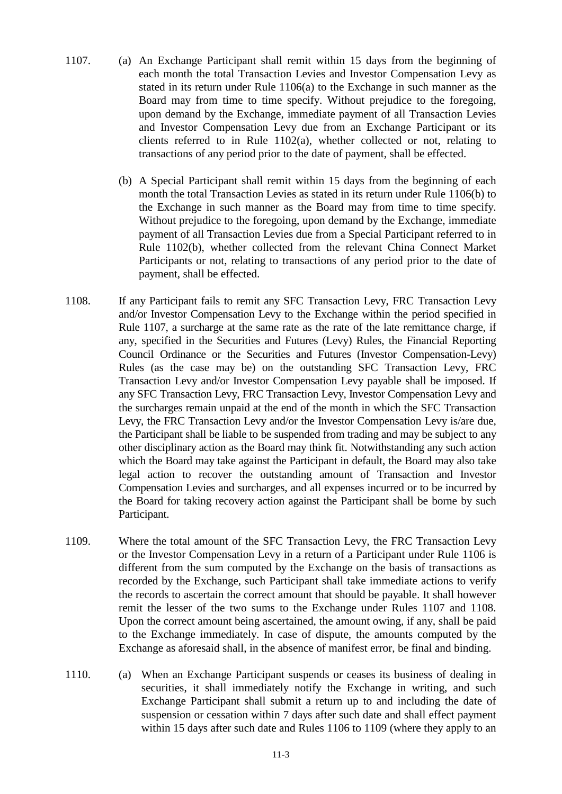- 1107. (a) An Exchange Participant shall remit within 15 days from the beginning of each month the total Transaction Levies and Investor Compensation Levy as stated in its return under Rule 1106(a) to the Exchange in such manner as the Board may from time to time specify. Without prejudice to the foregoing, upon demand by the Exchange, immediate payment of all Transaction Levies and Investor Compensation Levy due from an Exchange Participant or its clients referred to in Rule  $1102(a)$ , whether collected or not, relating to transactions of any period prior to the date of payment, shall be effected.
	- (b) A Special Participant shall remit within 15 days from the beginning of each month the total Transaction Levies as stated in its return under Rule 1106(b) to the Exchange in such manner as the Board may from time to time specify. Without prejudice to the foregoing, upon demand by the Exchange, immediate payment of all Transaction Levies due from a Special Participant referred to in Rule 1102(b), whether collected from the relevant China Connect Market Participants or not, relating to transactions of any period prior to the date of payment, shall be effected.
- 1108. If any Participant fails to remit any SFC Transaction Levy, FRC Transaction Levy and/or Investor Compensation Levy to the Exchange within the period specified in Rule 1107, a surcharge at the same rate as the rate of the late remittance charge, if any, specified in the Securities and Futures (Levy) Rules, the Financial Reporting Council Ordinance or the Securities and Futures (Investor Compensation-Levy) Rules (as the case may be) on the outstanding SFC Transaction Levy, FRC Transaction Levy and/or Investor Compensation Levy payable shall be imposed. If any SFC Transaction Levy, FRC Transaction Levy, Investor Compensation Levy and the surcharges remain unpaid at the end of the month in which the SFC Transaction Levy, the FRC Transaction Levy and/or the Investor Compensation Levy is/are due, the Participant shall be liable to be suspended from trading and may be subject to any other disciplinary action as the Board may think fit. Notwithstanding any such action which the Board may take against the Participant in default, the Board may also take legal action to recover the outstanding amount of Transaction and Investor Compensation Levies and surcharges, and all expenses incurred or to be incurred by the Board for taking recovery action against the Participant shall be borne by such Participant.
- 1109. Where the total amount of the SFC Transaction Levy, the FRC Transaction Levy or the Investor Compensation Levy in a return of a Participant under Rule 1106 is different from the sum computed by the Exchange on the basis of transactions as recorded by the Exchange, such Participant shall take immediate actions to verify the records to ascertain the correct amount that should be payable. It shall however remit the lesser of the two sums to the Exchange under Rules 1107 and 1108. Upon the correct amount being ascertained, the amount owing, if any, shall be paid to the Exchange immediately. In case of dispute, the amounts computed by the Exchange as aforesaid shall, in the absence of manifest error, be final and binding.
- 1110. (a) When an Exchange Participant suspends or ceases its business of dealing in securities, it shall immediately notify the Exchange in writing, and such Exchange Participant shall submit a return up to and including the date of suspension or cessation within 7 days after such date and shall effect payment within 15 days after such date and Rules 1106 to 1109 (where they apply to an